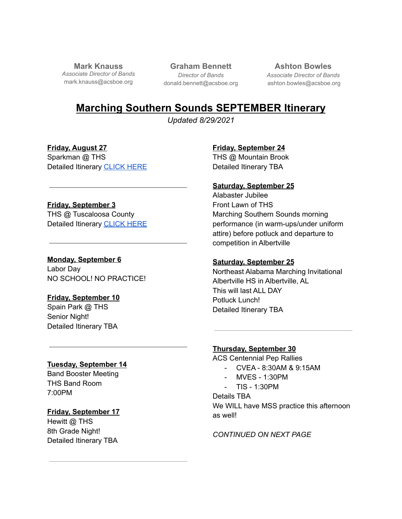**Mark Knauss** *Associate Director of Bands* mark.knauss@acsboe.org

**Graham Bennett** *Director of Bands* donald.bennett@acsboe.org

**Ashton Bowles** *Associate Director of Bands* ashton.bowles@acsboe.org

# **Marching Southern Sounds SEPTEMBER Itinerary**

*Updated 8/29/2021*

**Friday, August 27** Sparkman @ THS Detailed Itinerary [CLICK](https://docs.google.com/document/d/1nu5jsrZSHI0F-pSs4PHB5PtDoxK1ZY8X5nr2R6YHQBQ/edit?usp=sharing) HERE

#### **Friday, September 3**

THS @ Tuscaloosa County Detailed Itinerary [CLICK](https://docs.google.com/document/d/1r6vf-NsB2K80gT4KzR6FpkpTtlvaPFRT9OLvNk6sQ2w/edit?usp=sharing) HERE

## **Monday, September 6**

Labor Day NO SCHOOL! NO PRACTICE!

## **Friday, September 10**

Spain Park @ THS Senior Night! Detailed Itinerary TBA

## **Tuesday, September 14**

Band Booster Meeting THS Band Room 7:00PM

## **Friday, September 17**

Hewitt @ THS 8th Grade Night! Detailed Itinerary TBA **Friday, September 24**

THS @ Mountain Brook Detailed Itinerary TBA

## **Saturday, September 25**

Alabaster Jubilee Front Lawn of THS Marching Southern Sounds morning performance (in warm-ups/under uniform attire) before potluck and departure to competition in Albertville

## **Saturday, September 25**

Northeast Alabama Marching Invitational Albertville HS in Albertville, AL This will last ALL DAY Potluck Lunch! Detailed Itinerary TBA

## **Thursday, September 30**

ACS Centennial Pep Rallies

- CVEA 8:30AM & 9:15AM
- MVES 1:30PM
- TIS 1:30PM

Details TBA We WILL have MSS practice this afternoon as well!

*CONTINUED ON NEXT PAGE*